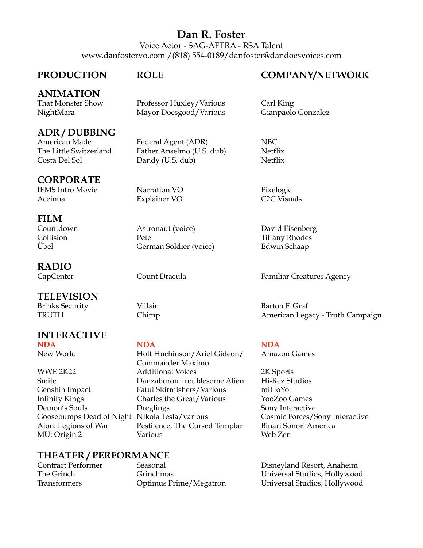## **Dan R. Foster**

Voice Actor - SAG-AFTRA - RSA Talent www.danfostervo.com /(818) 554-0189/danfoster@dandoesvoices.com

## **ANIMATION**

## **CORPORATE**

IEMS Intro Movie Narration VO Pixelogic Aceinna Explainer VO C2C Visuals

**FILM** 

## **RADIO**

## **TELEVISION**

Brinks Security **Villain Villain** Barton F. Graf TRUTHChimp American Legacy - Truth Campaign

### **INTERACTIVE NDA NDA NDA**

## **THEATER / PERFORMANCE**

### PRODUCTION ROLE COMPANY/NETWORK

Professor Huxley/Various Carl King NightMara Mayor Doesgood/Various Gianpaolo Gonzalez

**ADR / DUBBING**<br>
American Made Federal Agent (ADR) NBC The Little Switzerland Father Anselmo (U.S. dub) Netflix Costa Del Sol Dandy (U.S. dub) Netflix

Astronaut (voice) David Eisenberg Collision **Pete** Pete Tiffany Rhodes Übel German Soldier (voice) Edwin Schaap

CapCenter Count Dracula Familiar Creatures Agency

New World Holt Huchinson/Ariel Gideon/ Amazon Games Commander Maximo WWE 2K22 Additional Voices 2K Sports Smite Danzaburou Troublesome Alien Hi-Rez Studios Fatui Skirmishers/Various miHoYo Infinity Kings Charles the Great/Various YooZoo Games Demon's Souls **Dreglings** Sony Interactive Goosebumps Dead of Night Nikola Tesla/various Cosmic Forces/Sony Interactive Aion: Legions of War Pestilence, The Cursed Templar Binari Sonori America MU: Origin 2 Various Various Web Zen

Disneyland Resort, Anaheim The Grinch Grinchmas Universal Studios, Hollywood Transformers Optimus Prime/Megatron Universal Studios, Hollywood